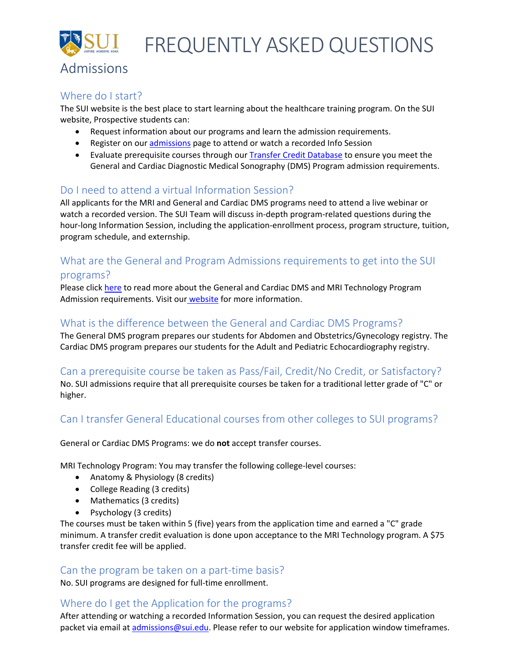FREQUENTLY ASKED QUESTIONS

# Admissions

### Where do I start?

The SUI website is the best place to start learning about the healthcare training program. On the SUI website, Prospective students can:

- Request information about our programs and learn the admission requirements.
- Register on our [admissions](https://sui.edu/admissions/) page to attend or watch a recorded Info Session
- Evaluate prerequisite courses through ou[r Transfer Credit Database](https://tes.collegesource.com/publicview/TES_publicview01.aspx?rid=2ad1fb36-f557-4a9a-9801-58622792dbde&aid=c0011063-285b-4371-835b-ea0cf3021e08) to ensure you meet the General and Cardiac Diagnostic Medical Sonography (DMS) Program admission requirements.

## Do I need to attend a virtual Information Session?

All applicants for the MRI and General and Cardiac DMS programs need to attend a live webinar or watch a recorded version. The SUI Team will discuss in-depth program-related questions during the hour-long Information Session, including the application-enrollment process, program structure, tuition, program schedule, and externship.

# What are the General and Program Admissions requirements to get into the SUI programs?

Please click [here](https://f2.leadsquaredcdn.com/t/sui/content/common/documents/Application-Enroll%20Process%20at%20SUI.pdf) to read more about the General and Cardiac DMS and MRI Technology Program Admission requirements. Visit our [website](http://www.sui.edu/) for more information.

## What is the difference between the General and Cardiac DMS Programs?

The General DMS program prepares our students for Abdomen and Obstetrics/Gynecology registry. The Cardiac DMS program prepares our students for the Adult and Pediatric Echocardiography registry.

## Can a prerequisite course be taken as Pass/Fail, Credit/No Credit, or Satisfactory?

No. SUI admissions require that all prerequisite courses be taken for a traditional letter grade of "C" or higher.

## Can I transfer General Educational courses from other colleges to SUI programs?

General or Cardiac DMS Programs: we do **not** accept transfer courses.

MRI Technology Program: You may transfer the following college-level courses:

- Anatomy & Physiology (8 credits)
- College Reading (3 credits)
- Mathematics (3 credits)
- Psychology (3 credits)

The courses must be taken within 5 (five) years from the application time and earned a "C" grade minimum. A transfer credit evaluation is done upon acceptance to the MRI Technology program. A \$75 transfer credit fee will be applied.

## Can the program be taken on a part-time basis?

No. SUI programs are designed for full-time enrollment.

## Where do I get the Application for the programs?

After attending or watching a recorded Information Session, you can request the desired application packet via email at [admissions@sui.edu.](mailto:admissions@sui.edu) Please refer to our website for application window timeframes.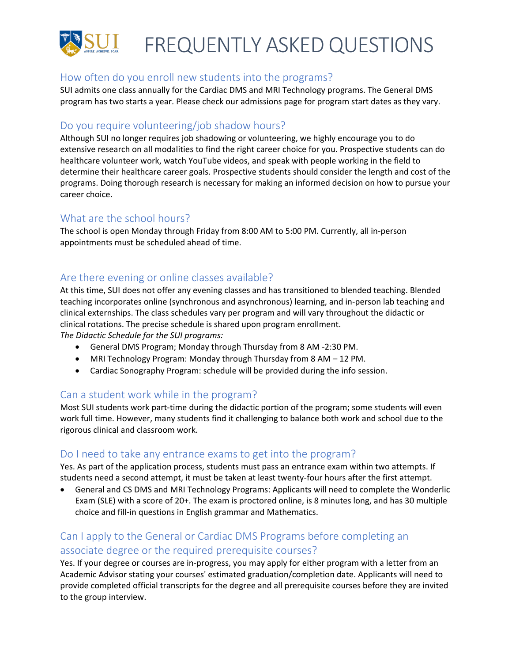

#### How often do you enroll new students into the programs?

SUI admits one class annually for the Cardiac DMS and MRI Technology programs. The General DMS program has two starts a year. Please check our admissions page for program start dates as they vary.

#### Do you require volunteering/job shadow hours?

Although SUI no longer requires job shadowing or volunteering, we highly encourage you to do extensive research on all modalities to find the right career choice for you. Prospective students can do healthcare volunteer work, watch YouTube videos, and speak with people working in the field to determine their healthcare career goals. Prospective students should consider the length and cost of the programs. Doing thorough research is necessary for making an informed decision on how to pursue your career choice.

#### What are the school hours?

The school is open Monday through Friday from 8:00 AM to 5:00 PM. Currently, all in-person appointments must be scheduled ahead of time.

## Are there evening or online classes available?

At this time, SUI does not offer any evening classes and has transitioned to blended teaching. Blended teaching incorporates online (synchronous and asynchronous) learning, and in-person lab teaching and clinical externships. The class schedules vary per program and will vary throughout the didactic or clinical rotations. The precise schedule is shared upon program enrollment.

*The Didactic Schedule for the SUI programs:* 

- General DMS Program; Monday through Thursday from 8 AM -2:30 PM.
- MRI Technology Program: Monday through Thursday from 8 AM 12 PM.
- Cardiac Sonography Program: schedule will be provided during the info session.

## Can a student work while in the program?

Most SUI students work part-time during the didactic portion of the program; some students will even work full time. However, many students find it challenging to balance both work and school due to the rigorous clinical and classroom work.

#### Do I need to take any entrance exams to get into the program?

Yes. As part of the application process, students must pass an entrance exam within two attempts. If students need a second attempt, it must be taken at least twenty-four hours after the first attempt.

• General and CS DMS and MRI Technology Programs: Applicants will need to complete the Wonderlic Exam (SLE) with a score of 20+. The exam is proctored online, is 8 minutes long, and has 30 multiple choice and fill-in questions in English grammar and Mathematics.

# Can I apply to the General or Cardiac DMS Programs before completing an associate degree or the required prerequisite courses?

Yes. If your degree or courses are in-progress, you may apply for either program with a letter from an Academic Advisor stating your courses' estimated graduation/completion date. Applicants will need to provide completed official transcripts for the degree and all prerequisite courses before they are invited to the group interview.